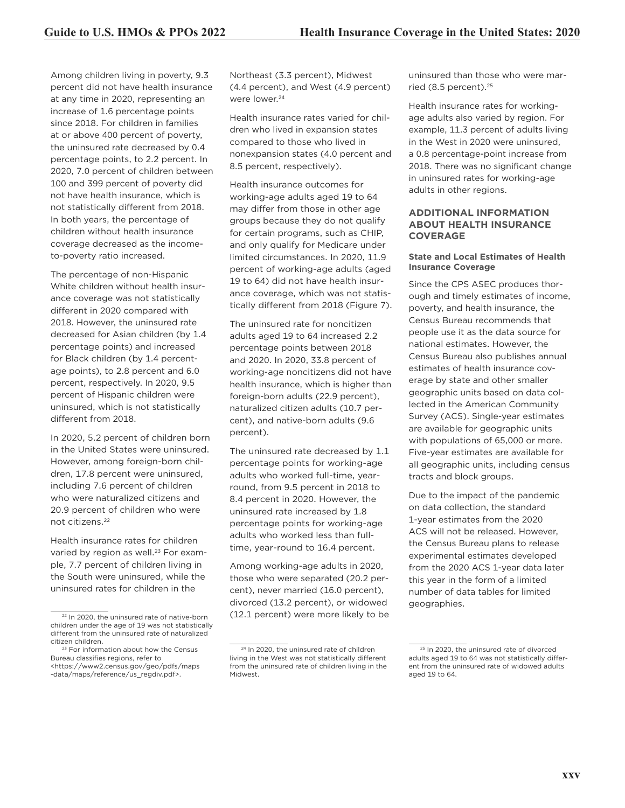Among children living in poverty, 9.3 percent did not have health insurance at any time in 2020, representing an increase of 1.6 percentage points since 2018. For children in families at or above 400 percent of poverty, the uninsured rate decreased by 0.4 percentage points, to 2.2 percent. In 2020, 7.0 percent of children between 100 and 399 percent of poverty did not have health insurance, which is not statistically different from 2018. In both years, the percentage of children without health insurance coverage decreased as the incometo-poverty ratio increased.

The percentage of non-Hispanic White children without health insurance coverage was not statistically different in 2020 compared with 2018. However, the uninsured rate decreased for Asian children (by 1.4 percentage points) and increased for Black children (by 1.4 percentage points), to 2.8 percent and 6.0 percent, respectively. In 2020, 9.5 percent of Hispanic children were uninsured, which is not statistically different from 2018.

In 2020, 5.2 percent of children born in the United States were uninsured. However, among foreign-born children, 17.8 percent were uninsured, including 7.6 percent of children who were naturalized citizens and 20.9 percent of children who were not citizens.22

Health insurance rates for children varied by region as well.<sup>23</sup> For example, 7.7 percent of children living in the South were uninsured, while the uninsured rates for children in the

Northeast (3.3 percent), Midwest (4.4 percent), and West (4.9 percent) were lower.<sup>24</sup>

Health insurance rates varied for children who lived in expansion states compared to those who lived in nonexpansion states (4.0 percent and 8.5 percent, respectively).

Health insurance outcomes for working-age adults aged 19 to 64 may differ from those in other age groups because they do not qualify for certain programs, such as CHIP, and only qualify for Medicare under limited circumstances. In 2020, 11.9 percent of working-age adults (aged 19 to 64) did not have health insurance coverage, which was not statistically different from 2018 (Figure 7).

The uninsured rate for noncitizen adults aged 19 to 64 increased 2.2 percentage points between 2018 and 2020. In 2020, 33.8 percent of working-age noncitizens did not have health insurance, which is higher than foreign-born adults (22.9 percent), naturalized citizen adults (10.7 percent), and native-born adults (9.6 percent).

The uninsured rate decreased by 1.1 percentage points for working-age adults who worked full-time, yearround, from 9.5 percent in 2018 to 8.4 percent in 2020. However, the uninsured rate increased by 1.8 percentage points for working-age adults who worked less than fulltime, year-round to 16.4 percent.

Among working-age adults in 2020, those who were separated (20.2 percent), never married (16.0 percent), divorced (13.2 percent), or widowed (12.1 percent) were more likely to be uninsured than those who were married (8.5 percent).<sup>25</sup>

Health insurance rates for workingage adults also varied by region. For example, 11.3 percent of adults living in the West in 2020 were uninsured, a 0.8 percentage-point increase from 2018. There was no significant change in uninsured rates for working-age adults in other regions.

#### **ADDITIONAL INFORMATION ABOUT HEALTH INSURANCE COVERAGE**

#### **State and Local Estimates of Health Insurance Coverage**

Since the CPS ASEC produces thorough and timely estimates of income, poverty, and health insurance, the Census Bureau recommends that people use it as the data source for national estimates. However, the Census Bureau also publishes annual estimates of health insurance coverage by state and other smaller geographic units based on data collected in the American Community Survey (ACS). Single-year estimates are available for geographic units with populations of 65,000 or more. Five-year estimates are available for all geographic units, including census tracts and block groups.

Due to the impact of the pandemic on data collection, the standard 1-year estimates from the 2020 ACS will not be released. However, the Census Bureau plans to release experimental estimates developed from the 2020 ACS 1-year data later this year in the form of a limited number of data tables for limited geographies.

<sup>22</sup> In 2020, the uninsured rate of native-born children under the age of 19 was not statistically different from the uninsured rate of naturalized citizen children.

<sup>&</sup>lt;sup>23</sup> For information about how the Census Bureau classifies regions, refer to <https://www2.census.gov/geo/pdfs/maps -data/maps/reference/us\_regdiv.pdf>.

<sup>&</sup>lt;sup>24</sup> In 2020, the uninsured rate of children living in the West was not statistically different from the uninsured rate of children living in the Midwest.

<sup>&</sup>lt;sup>25</sup> In 2020, the uninsured rate of divorced adults aged 19 to 64 was not statistically different from the uninsured rate of widowed adults aged 19 to 64.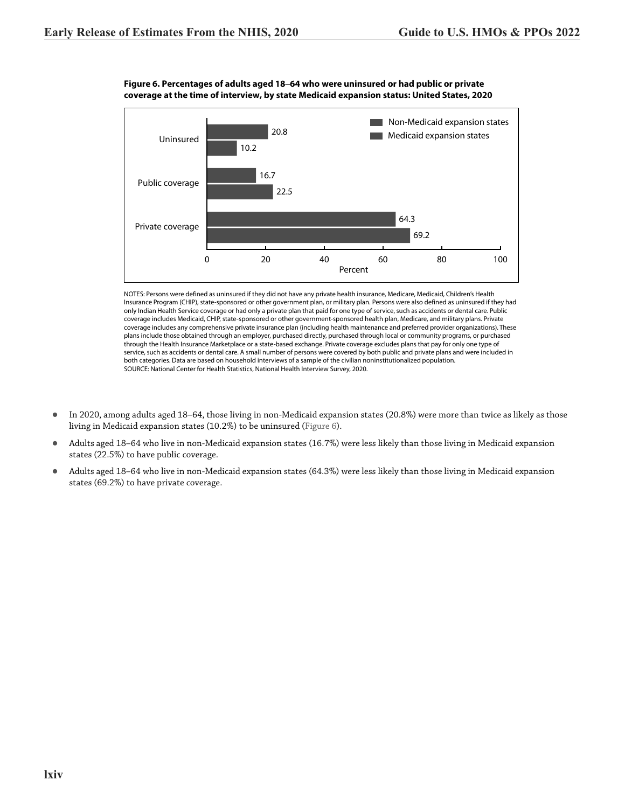

**Figure 6. Percentages of adults aged 18–64 who were uninsured or had public or private coverage at the time of interview, by state Medicaid expansion status: United States, 2020**

NOTES: Persons were defined as uninsured if they did not have any private health insurance, Medicare, Medicaid, Children's Health Insurance Program (CHIP), state-sponsored or other government plan, or military plan. Persons were also defined as uninsured if they had only Indian Health Service coverage or had only a private plan that paid for one type of service, such as accidents or dental care. Public coverage includes Medicaid, CHIP, state-sponsored or other government-sponsored health plan, Medicare, and military plans. Private coverage includes any comprehensive private insurance plan (including health maintenance and preferred provider organizations). These plans include those obtained through an employer, purchased directly, purchased through local or community programs, or purchased through the Health Insurance Marketplace or a state-based exchange. Private coverage excludes plans that pay for only one type of service, such as accidents or dental care. A small number of persons were covered by both public and private plans and were included in both categories. Data are based on household interviews of a sample of the civilian noninstitutionalized population. SOURCE: National Center for Health Statistics, National Health Interview Survey, 2020.

- In 2020, among adults aged 18–64, those living in non-Medicaid expansion states (20.8%) were more than twice as likely as those living in Medicaid expansion states (10.2%) to be uninsured (Figure 6).
- Adults aged 18-64 who live in non-Medicaid expansion states (16.7%) were less likely than those living in Medicaid expansion states (22.5%) to have public coverage.
- z Adults aged 18–64 who live in non-Medicaid expansion states (64.3%) were less likely than those living in Medicaid expansion states (69.2%) to have private coverage.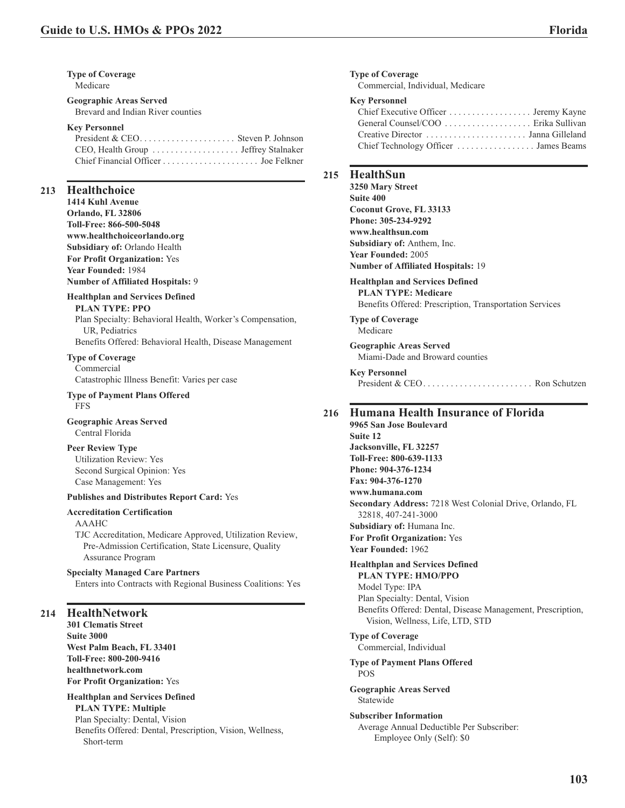**Type of Coverage** Medicare

#### **Geographic Areas Served** Brevard and Indian River counties

#### **Key Personnel**

| President & CEO Steven P. Johnson |  |
|-----------------------------------|--|
|                                   |  |
|                                   |  |

# **213 Healthchoice**

**1414 Kuhl Avenue Orlando, FL 32806 Toll-Free: 866-500-5048 www.healthchoiceorlando.org Subsidiary of:** Orlando Health **For Profit Organization:** Yes **Year Founded:** 1984 **Number of Affiliated Hospitals:** 9

# **Healthplan and Services Defined**

**PLAN TYPE: PPO**

Plan Specialty: Behavioral Health, Worker's Compensation, UR, Pediatrics

Benefits Offered: Behavioral Health, Disease Management

# **Type of Coverage**

Commercial Catastrophic Illness Benefit: Varies per case

#### **Type of Payment Plans Offered** FFS

**Geographic Areas Served** Central Florida

#### **Peer Review Type**

Utilization Review: Yes Second Surgical Opinion: Yes Case Management: Yes

#### **Publishes and Distributes Report Card:** Yes

#### **Accreditation Certification**

AAAHC TJC Accreditation, Medicare Approved, Utilization Review, Pre-Admission Certification, State Licensure, Quality Assurance Program

#### **Specialty Managed Care Partners**

Enters into Contracts with Regional Business Coalitions: Yes

# **214 HealthNetwork**

**301 Clematis Street Suite 3000 West Palm Beach, FL 33401 Toll-Free: 800-200-9416 healthnetwork.com For Profit Organization:** Yes

#### **Healthplan and Services Defined PLAN TYPE: Multiple** Plan Specialty: Dental, Vision Benefits Offered: Dental, Prescription, Vision, Wellness, Short-term

**Type of Coverage**

Commercial, Individual, Medicare

#### **Key Personnel**

| Chief Executive Officer Jeremy Kayne  |  |
|---------------------------------------|--|
| General Counsel/COO  Erika Sullivan   |  |
|                                       |  |
| Chief Technology Officer  James Beams |  |

#### **215 HealthSun**

**3250 Mary Street Suite 400 Coconut Grove, FL 33133 Phone: 305-234-9292 www.healthsun.com Subsidiary of:** Anthem, Inc. **Year Founded:** 2005 **Number of Affiliated Hospitals:** 19

#### **Healthplan and Services Defined PLAN TYPE: Medicare**

Benefits Offered: Prescription, Transportation Services

**Type of Coverage** Medicare

**Geographic Areas Served** Miami-Dade and Broward counties

#### **Key Personnel** President & CEO. . . . . . . . . . . . . . . . . . . . . . . . Ron Schutzen

# **216 Humana Health Insurance of Florida**

**9965 San Jose Boulevard Suite 12 Jacksonville, FL 32257 Toll-Free: 800-639-1133 Phone: 904-376-1234 Fax: 904-376-1270 www.humana.com Secondary Address:** 7218 West Colonial Drive, Orlando, FL 32818, 407-241-3000 **Subsidiary of:** Humana Inc. **For Profit Organization:** Yes **Year Founded:** 1962

# **Healthplan and Services Defined**

**PLAN TYPE: HMO/PPO** Model Type: IPA Plan Specialty: Dental, Vision Benefits Offered: Dental, Disease Management, Prescription, Vision, Wellness, Life, LTD, STD

#### **Type of Coverage**

Commercial, Individual

#### **Type of Payment Plans Offered** POS

**Geographic Areas Served** Statewide

#### **Subscriber Information**

Average Annual Deductible Per Subscriber: Employee Only (Self): \$0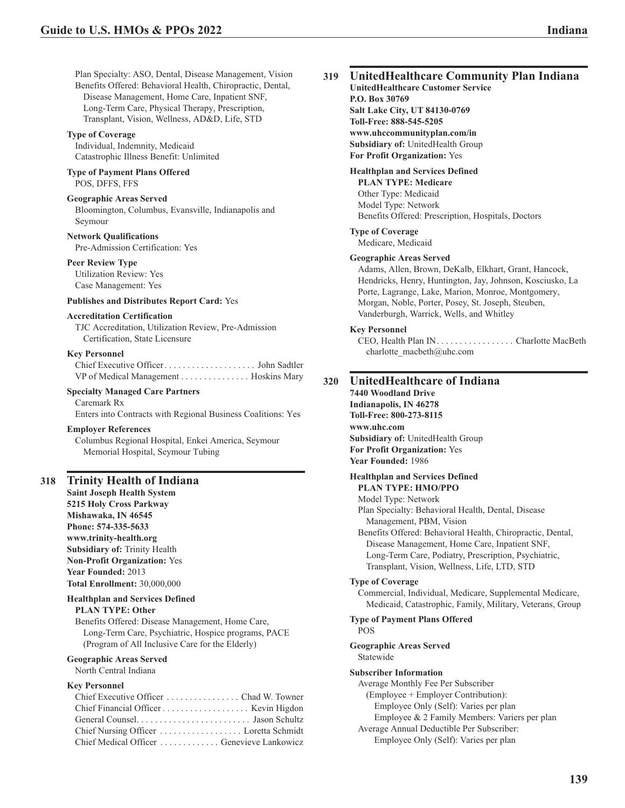Plan Specialty: ASO, Dental, Disease Management, Vision Benefits Offered: Behavioral Health, Chiropractic, Dental, Disease Management, Home Care, Inpatient SNF, Long-Term Care, Physical Therapy, Prescription, Transplant, Vision, Wellness, AD&D, Life, STD

#### **Type of Coverage**

Individual, Indemnity, Medicaid Catastrophic Illness Benefit: Unlimited

#### **Type of Payment Plans Offered** POS, DFFS, FFS

#### **Geographic Areas Served**

Bloomington, Columbus, Evansville, Indianapolis and Seymour

**Network Qualifications**

Pre-Admission Certification: Yes

#### **Peer Review Type**

Utilization Review: Yes Case Management: Yes

#### **Publishes and Distributes Report Card:** Yes

#### **Accreditation Certification**

TJC Accreditation, Utilization Review, Pre-Admission Certification, State Licensure

## **Key Personnel**

Chief Executive Officer.................... John Sadtler VP of Medical Management ............... Hoskins Mary

#### **Specialty Managed Care Partners**

Caremark Rx Enters into Contracts with Regional Business Coalitions: Yes

#### **Employer References**

Columbus Regional Hospital, Enkei America, Seymour Memorial Hospital, Seymour Tubing

#### **318 Trinity Health of Indiana**

**Saint Joseph Health System 5215 Holy Cross Parkway Mishawaka, IN 46545 Phone: 574-335-5633 www.trinity-health.org Subsidiary of:** Trinity Health **Non-Profit Organization:** Yes **Year Founded:** 2013 **Total Enrollment:** 30,000,000

#### **Healthplan and Services Defined**

#### **PLAN TYPE: Other**

Benefits Offered: Disease Management, Home Care, Long-Term Care, Psychiatric, Hospice programs, PACE (Program of All Inclusive Care for the Elderly)

#### **Geographic Areas Served** North Central Indiana

#### **Key Personnel**

| Chief Executive Officer  Chad W. Towner    |  |
|--------------------------------------------|--|
|                                            |  |
|                                            |  |
| Chief Nursing Officer Loretta Schmidt      |  |
| Chief Medical Officer  Genevieve Lankowicz |  |

#### **319 UnitedHealthcare Community Plan Indiana**

**UnitedHealthcare Customer Service P.O. Box 30769 Salt Lake City, UT 84130-0769 Toll-Free: 888-545-5205 www.uhccommunityplan.com/in Subsidiary of:** UnitedHealth Group **For Profit Organization:** Yes

#### **Healthplan and Services Defined**

**PLAN TYPE: Medicare** Other Type: Medicaid Model Type: Network Benefits Offered: Prescription, Hospitals, Doctors

# **Type of Coverage**

Medicare, Medicaid

# **Geographic Areas Served**

Adams, Allen, Brown, DeKalb, Elkhart, Grant, Hancock, Hendricks, Henry, Huntington, Jay, Johnson, Kosciusko, La Porte, Lagrange, Lake, Marion, Monroe, Montgomery, Morgan, Noble, Porter, Posey, St. Joseph, Steuben, Vanderburgh, Warrick, Wells, and Whitley

#### **Key Personnel**

CEO, Health Plan IN................. Charlotte MacBeth charlotte\_macbeth@uhc.com

### **320 UnitedHealthcare of Indiana**

**7440 Woodland Drive Indianapolis, IN 46278 Toll-Free: 800-273-8115 www.uhc.com Subsidiary of:** UnitedHealth Group **For Profit Organization:** Yes **Year Founded:** 1986

#### **Healthplan and Services Defined**

**PLAN TYPE: HMO/PPO** Model Type: Network Plan Specialty: Behavioral Health, Dental, Disease Management, PBM, Vision Benefits Offered: Behavioral Health, Chiropractic, Dental, Disease Management, Home Care, Inpatient SNF, Long-Term Care, Podiatry, Prescription, Psychiatric, Transplant, Vision, Wellness, Life, LTD, STD **Type of Coverage**

Commercial, Individual, Medicare, Supplemental Medicare, Medicaid, Catastrophic, Family, Military, Veterans, Group

#### **Type of Payment Plans Offered** POS

#### **Geographic Areas Served** Statewide

#### **Subscriber Information**

Average Monthly Fee Per Subscriber

- (Employee + Employer Contribution):
	- Employee Only (Self): Varies per plan

Employee & 2 Family Members: Variers per plan Average Annual Deductible Per Subscriber:

Employee Only (Self): Varies per plan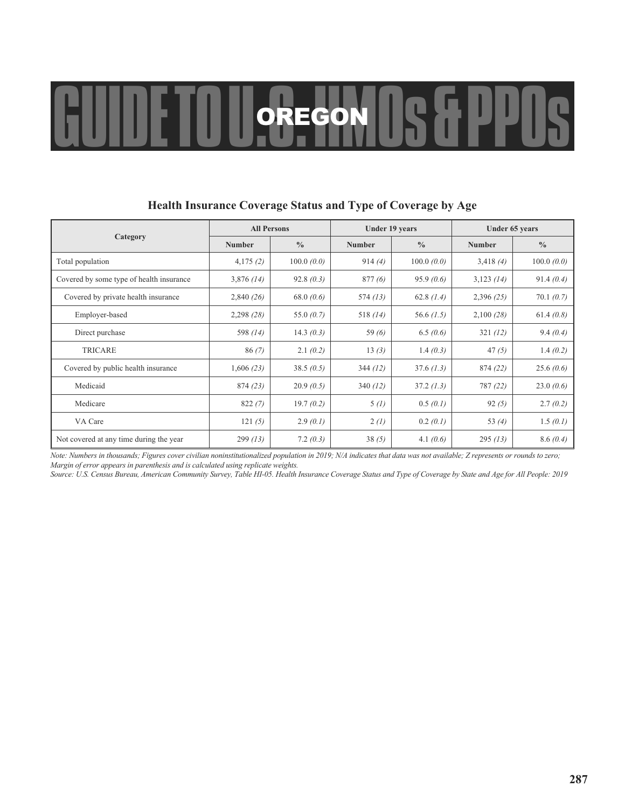# GUIDE TO U. S.EGON US & PPOS

|                                          | <b>All Persons</b> |               |               | Under 19 years |               | Under 65 years |
|------------------------------------------|--------------------|---------------|---------------|----------------|---------------|----------------|
| Category                                 | <b>Number</b>      | $\frac{0}{0}$ | <b>Number</b> | $\frac{0}{0}$  | <b>Number</b> | $\frac{0}{0}$  |
| Total population                         | 4,175(2)           | 100.0(0.0)    | 914(4)        | 100.0(0.0)     | 3,418(4)      | 100.0(0.0)     |
| Covered by some type of health insurance | 3,876(14)          | 92.8(0.3)     | 877(6)        | 95.9(0.6)      | 3,123(14)     | 91.4(0.4)      |
| Covered by private health insurance      | 2,840(26)          | 68.0 $(0.6)$  | 574(13)       | 62.8 $(1.4)$   | 2,396(25)     | 70.1(0.7)      |
| Employer-based                           | 2,298(28)          | 55.0 $(0.7)$  | 518 $(14)$    | 56.6 $(1.5)$   | 2,100(28)     | 61.4 $(0.8)$   |
| Direct purchase                          | 598 (14)           | 14.3 $(0.3)$  | 59 $(6)$      | 6.5(0.6)       | 321(12)       | 9.4(0.4)       |
| <b>TRICARE</b>                           | 86(7)              | 2.1(0.2)      | 13(3)         | 1.4 $(0.3)$    | 47(5)         | 1.4(0.2)       |
| Covered by public health insurance       | 1,606(23)          | 38.5(0.5)     | 344(12)       | 37.6(1.3)      | 874 (22)      | 25.6(0.6)      |
| Medicaid                                 | 874(23)            | 20.9(0.5)     | 340(12)       | 37.2(1.3)      | 787 (22)      | 23.0(0.6)      |
| Medicare                                 | 822(7)             | 19.7(0.2)     | 5(1)          | 0.5(0.1)       | 92(5)         | 2.7(0.2)       |
| VA Care                                  | 121(5)             | 2.9(0.1)      | 2(l)          | 0.2(0.1)       | 53 $(4)$      | 1.5(0.1)       |
| Not covered at any time during the year  | 299(13)            | 7.2(0.3)      | 38(5)         | 4.1 $(0.6)$    | 295(13)       | 8.6(0.4)       |

# **Health Insurance Coverage Status and Type of Coverage by Age**

*Note: Numbers in thousands; Figures cover civilian noninstitutionalized population in 2019; N/A indicates that data was not available; Z represents or rounds to zero; Margin of error appears in parenthesis and is calculated using replicate weights.*

*Source: U.S. Census Bureau, American Community Survey, Table HI-05. Health Insurance Coverage Status and Type of Coverage by State and Age for All People: 2019*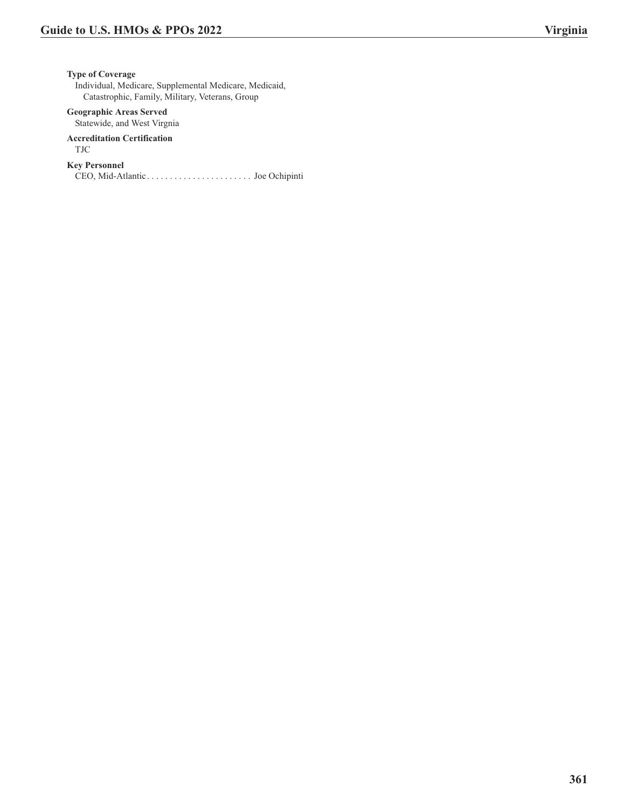**Type of Coverage**

Individual, Medicare, Supplemental Medicare, Medicaid, Catastrophic, Family, Military, Veterans, Group

# **Geographic Areas Served**

Statewide, and West Virgnia

#### **Accreditation Certification** TJC

# **Key Personnel**

CEO, Mid-Atlantic . . . . . . . . . . . . . . . . . . . . . . . Joe Ochipinti